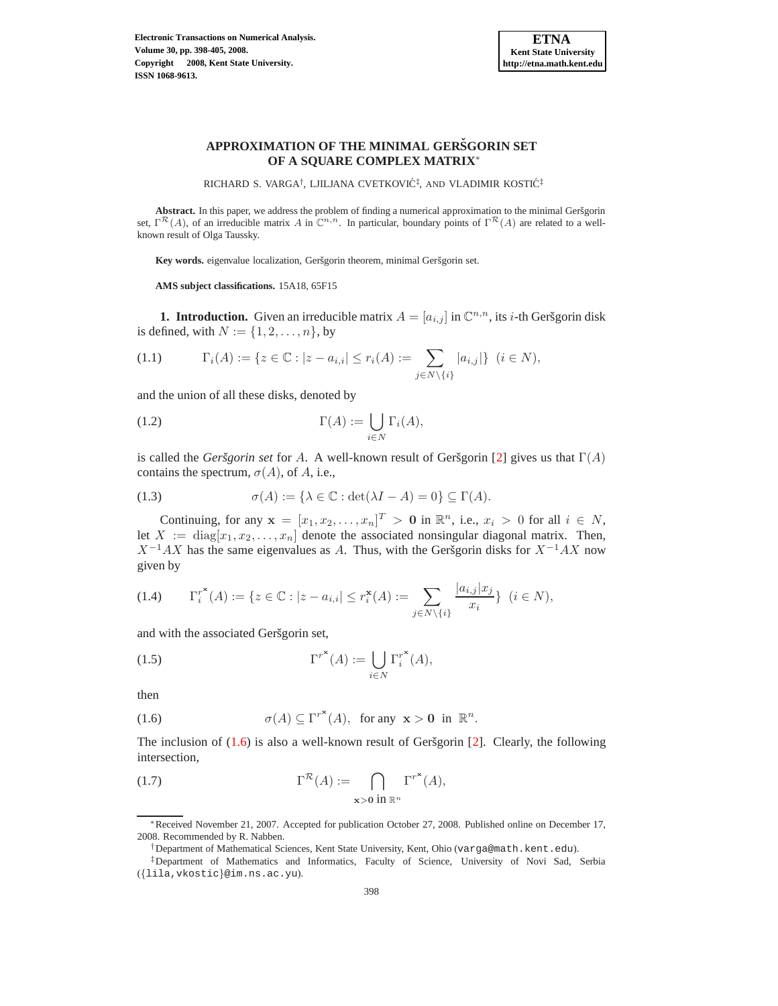

# **APPROXIMATION OF THE MINIMAL GERSGORIN SET ˇ OF A SQUARE COMPLEX MATRIX**<sup>∗</sup>

RICHARD S. VARGA<sup>†</sup>, LJILJANA CVETKOVIĆ<sup>‡</sup>, AND VLADIMIR KOSTIĆ<sup>‡</sup>

Abstract. In this paper, we address the problem of finding a numerical approximation to the minimal Geršgorin set,  $\Gamma^{\mathcal{R}}(A)$ , of an irreducible matrix A in  $\mathbb{C}^{n,n}$ . In particular, boundary points of  $\Gamma^{\mathcal{R}}(A)$  are related to a wellknown result of Olga Taussky.

Key words. eigenvalue localization, Geršgorin theorem, minimal Geršgorin set.

**AMS subject classifications.** 15A18, 65F15

**1. Introduction.** Given an irreducible matrix  $A = [a_{i,j}]$  in  $\mathbb{C}^{n,n}$ , its *i*-th Geršgorin disk is defined, with  $N := \{1, 2, \ldots, n\}$ , by

$$
(1.1) \t\Gamma_i(A) := \{ z \in \mathbb{C} : |z - a_{i,i}| \le r_i(A) := \sum_{j \in N \setminus \{i\}} |a_{i,j}| \} \ (i \in N),
$$

<span id="page-0-1"></span>and the union of all these disks, denoted by

(1.2) 
$$
\Gamma(A) := \bigcup_{i \in N} \Gamma_i(A),
$$

is called the *Geršgorin set* for A. A well-known result of Geršgorin [\[2\]](#page-7-0) gives us that  $\Gamma(A)$ contains the spectrum,  $\sigma(A)$ , of A, i.e.,

(1.3) 
$$
\sigma(A) := \{ \lambda \in \mathbb{C} : \det(\lambda I - A) = 0 \} \subseteq \Gamma(A).
$$

Continuing, for any  $\mathbf{x} = [x_1, x_2, \dots, x_n]^T > \mathbf{0}$  in  $\mathbb{R}^n$ , i.e.,  $x_i > 0$  for all  $i \in N$ , let  $X := diag[x_1, x_2, \ldots, x_n]$  denote the associated nonsingular diagonal matrix. Then,  $X^{-1}AX$  has the same eigenvalues as A. Thus, with the Geršgorin disks for  $X^{-1}AX$  now given by

$$
(1.4) \t\Gamma_i^{r^*}(A) := \{ z \in \mathbb{C} : |z - a_{i,i}| \le r_i^*(A) := \sum_{j \in N \setminus \{i\}} \frac{|a_{i,j}| x_j}{x_i} \} \ (i \in N),
$$

<span id="page-0-2"></span>and with the associated Geršgorin set,

(1.5) 
$$
\Gamma^{r^*}(A) := \bigcup_{i \in N} \Gamma_i^{r^*}(A),
$$

<span id="page-0-0"></span>then

(1.6) 
$$
\sigma(A) \subseteq \Gamma^{r^*}(A), \text{ for any } x > 0 \text{ in } \mathbb{R}^n.
$$

<span id="page-0-3"></span>The inclusion of  $(1.6)$  is also a well-known result of Geršgorin [\[2\]](#page-7-0). Clearly, the following intersection,

(1.7) 
$$
\Gamma^{\mathcal{R}}(A) := \bigcap_{\mathbf{x} > \mathbf{0} \text{ in } \mathbb{R}^n} \Gamma^{r^*}(A),
$$

<sup>∗</sup>Received November 21, 2007. Accepted for publication October 27, 2008. Published online on December 17, 2008. Recommended by R. Nabben.

<sup>†</sup>Department of Mathematical Sciences, Kent State University, Kent, Ohio (varga@math.kent.edu).

<sup>‡</sup>Department of Mathematics and Informatics, Faculty of Science, University of Novi Sad, Serbia ({lila,vkostic}@im.ns.ac.yu).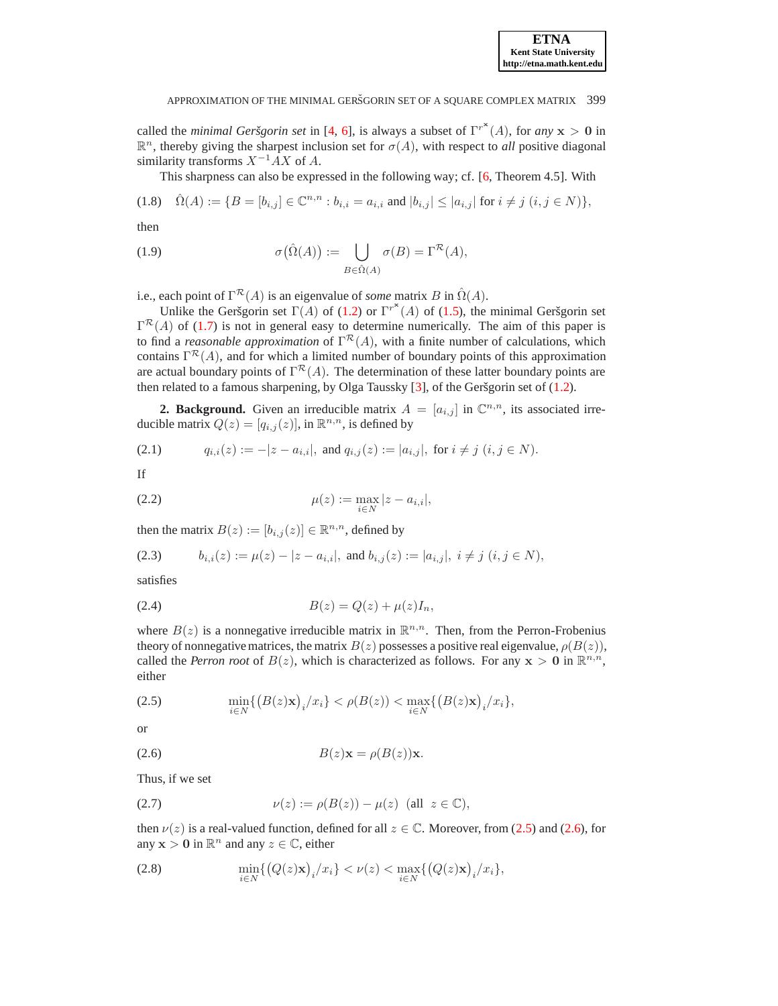called the *minimal Geršgorin set* in [\[4,](#page-7-1) [6\]](#page-7-2), is always a subset of  $\Gamma^{r*}(A)$ , for *any*  $x > 0$  in  $\mathbb{R}^n$ , thereby giving the sharpest inclusion set for  $\sigma(A)$ , with respect to *all* positive diagonal similarity transforms  $X^{-1}AX$  of A.

This sharpness can also be expressed in the following way; cf. [\[6,](#page-7-2) Theorem 4.5]. With

$$
(1.8) \quad \hat{\Omega}(A) := \{ B = [b_{i,j}] \in \mathbb{C}^{n,n} : b_{i,i} = a_{i,i} \text{ and } |b_{i,j}| \le |a_{i,j}| \text{ for } i \ne j \ (i,j \in N) \},
$$

then

(1.9) 
$$
\sigma(\hat{\Omega}(A)) := \bigcup_{B \in \hat{\Omega}(A)} \sigma(B) = \Gamma^{\mathcal{R}}(A),
$$

i.e., each point of  $\Gamma^{\mathcal{R}}(A)$  is an eigenvalue of *some* matrix B in  $\hat{\Omega}(A)$ .

Unlike the Geršgorin set  $\Gamma(A)$  of [\(1.2\)](#page-0-1) or  $\Gamma^{r*}(A)$  of [\(1.5\)](#page-0-2), the minimal Geršgorin set  $\Gamma^{\mathcal{R}}(A)$  of [\(1.7\)](#page-0-3) is not in general easy to determine numerically. The aim of this paper is to find a *reasonable approximation* of  $\Gamma^{\mathcal{R}}(A)$ , with a finite number of calculations, which contains  $\Gamma^{R}(A)$ , and for which a limited number of boundary points of this approximation are actual boundary points of  $\Gamma^{\mathcal{R}}(A)$ . The determination of these latter boundary points are then related to a famous sharpening, by Olga Taussky  $[3]$ , of the Geršgorin set of  $(1.2)$ .

<span id="page-1-7"></span>**2. Background.** Given an irreducible matrix  $A = [a_{i,j}]$  in  $\mathbb{C}^{n,n}$ , its associated irreducible matrix  $Q(z) = [q_{i,j}(z)]$ , in  $\mathbb{R}^{n,n}$ , is defined by

$$
(2.1) \t q_{i,i}(z) := -|z - a_{i,i}|, \text{ and } q_{i,j}(z) := |a_{i,j}|, \text{ for } i \neq j \ (i, j \in N).
$$

<span id="page-1-5"></span>If

(2.2) 
$$
\mu(z) := \max_{i \in N} |z - a_{i,i}|,
$$

<span id="page-1-3"></span>then the matrix  $B(z) := [b_{i,j}(z)] \in \mathbb{R}^{n,n}$ , defined by

(2.3) 
$$
b_{i,i}(z) := \mu(z) - |z - a_{i,i}|, \text{ and } b_{i,j}(z) := |a_{i,j}|, i \neq j \ (i, j \in N),
$$

<span id="page-1-4"></span>satisfies

(2.4) 
$$
B(z) = Q(z) + \mu(z)I_n,
$$

where  $B(z)$  is a nonnegative irreducible matrix in  $\mathbb{R}^{n,n}$ . Then, from the Perron-Frobenius theory of nonnegative matrices, the matrix  $B(z)$  possesses a positive real eigenvalue,  $\rho(B(z))$ , called the *Perron root* of  $B(z)$ , which is characterized as follows. For any  $x > 0$  in  $\mathbb{R}^{n,n}$ , either

<span id="page-1-0"></span>(2.5) 
$$
\min_{i \in N} \{ (B(z) \mathbf{x})_i / x_i \} < \rho(B(z)) < \max_{i \in N} \{ (B(z) \mathbf{x})_i / x_i \},
$$

<span id="page-1-1"></span>or

$$
(2.6) \t\t B(z) \mathbf{x} = \rho(B(z)) \mathbf{x}.
$$

<span id="page-1-2"></span>Thus, if we set

$$
(2.7) \quad \nu(z) := \rho(B(z)) - \mu(z) \quad \text{(all } z \in \mathbb{C}),
$$

<span id="page-1-6"></span>then  $\nu(z)$  is a real-valued function, defined for all  $z \in \mathbb{C}$ . Moreover, from [\(2.5\)](#page-1-0) and [\(2.6\)](#page-1-1), for any  $x > 0$  in  $\mathbb{R}^n$  and any  $z \in \mathbb{C}$ , either

(2.8) 
$$
\min_{i \in N} \{ (Q(z) \mathbf{x})_i / x_i \} < \nu(z) < \max_{i \in N} \{ (Q(z) \mathbf{x})_i / x_i \},
$$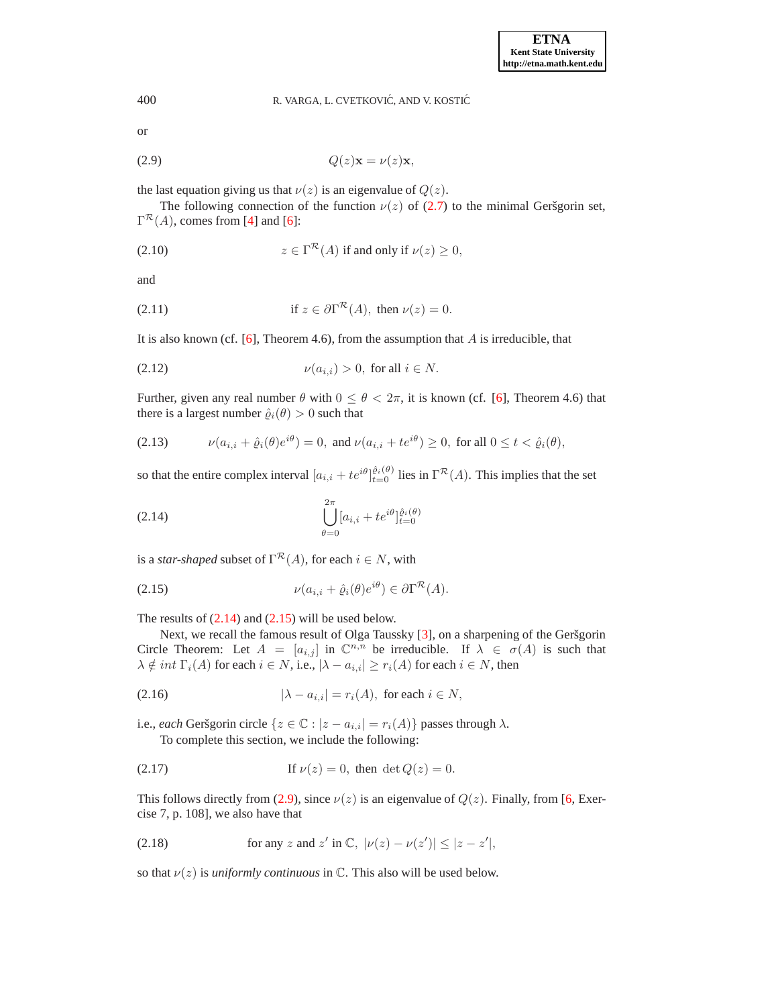### 400 R. VARGA, L. CVETKOVIĆ, AND V. KOSTIĆ

<span id="page-2-2"></span>or

$$
(2.9) \tQ(z) \mathbf{x} = \nu(z) \mathbf{x},
$$

the last equation giving us that  $\nu(z)$  is an eigenvalue of  $Q(z)$ .

The following connection of the function  $\nu(z)$  of [\(2.7\)](#page-1-2) to the minimal Geršgorin set,  $\Gamma^{\mathcal{R}}(A)$ , comes from [\[4\]](#page-7-1) and [\[6\]](#page-7-2):

(2.10) 
$$
z \in \Gamma^{\mathcal{R}}(A) \text{ if and only if } \nu(z) \ge 0,
$$

<span id="page-2-5"></span>and

(2.11) if 
$$
z \in \partial \Gamma^{\mathcal{R}}(A)
$$
, then  $\nu(z) = 0$ .

<span id="page-2-6"></span>It is also known (cf.  $[6]$ , Theorem 4.6), from the assumption that A is irreducible, that

$$
(2.12) \t\t\t\nu(a_{i,i}) > 0, \text{ for all } i \in N.
$$

Further, given any real number  $\theta$  with  $0 \le \theta < 2\pi$ , it is known (cf. [\[6\]](#page-7-2), Theorem 4.6) that there is a largest number  $\hat{\varrho}_i(\theta) > 0$  such that

(2.13) 
$$
\nu(a_{i,i} + \hat{\varrho}_i(\theta)e^{i\theta}) = 0, \text{ and } \nu(a_{i,i} + te^{i\theta}) \ge 0, \text{ for all } 0 \le t < \hat{\varrho}_i(\theta),
$$

<span id="page-2-0"></span>so that the entire complex interval  $[a_{i,i} + te^{i\theta}]_{t=0}^{\hat{\ell}i(\theta)}$  lies in  $\Gamma^{\mathcal{R}}(A)$ . This implies that the set

(2.14) 
$$
\bigcup_{\theta=0}^{2\pi} [a_{i,i} + te^{i\theta}]_{t=0}^{\hat{a}_i(\theta)}
$$

<span id="page-2-1"></span>is a *star-shaped* subset of  $\Gamma^{\mathcal{R}}(A)$ , for each  $i \in N$ , with

(2.15) 
$$
\nu(a_{i,i} + \hat{\varrho}_i(\theta)e^{i\theta}) \in \partial \Gamma^{\mathcal{R}}(A).
$$

The results of  $(2.14)$  and  $(2.15)$  will be used below.

Next, we recall the famous result of Olga Taussky [\[3\]](#page-7-3), on a sharpening of the Geršgorin Circle Theorem: Let  $A = [a_{i,j}]$  in  $\mathbb{C}^{n,n}$  be irreducible. If  $\lambda \in \sigma(A)$  is such that  $\lambda \notin int \; \Gamma_i(A)$  for each  $i \in N,$  i.e.,  $|\lambda - a_{i,i}| \geq r_i(A)$  for each  $i \in N,$  then

$$
(2.16) \t\t\t |\lambda - a_{i,i}| = r_i(A), \t\tfor each  $i \in N$ ,
$$

i.e., *each* Geršgorin circle { $z \in \mathbb{C} : |z - a_{i,i}| = r_i(A)$ } passes through  $\lambda$ .

<span id="page-2-3"></span>To complete this section, we include the following:

(2.17) If 
$$
\nu(z) = 0
$$
, then det  $Q(z) = 0$ .

<span id="page-2-4"></span>This follows directly from [\(2.9\)](#page-2-2), since  $\nu(z)$  is an eigenvalue of  $Q(z)$ . Finally, from [\[6,](#page-7-2) Exercise 7, p. 108], we also have that

(2.18) for any *z* and *z'* in C, 
$$
|\nu(z) - \nu(z')| \le |z - z'|
$$
,

so that  $\nu(z)$  is *uniformly continuous* in  $\mathbb{C}$ . This also will be used below.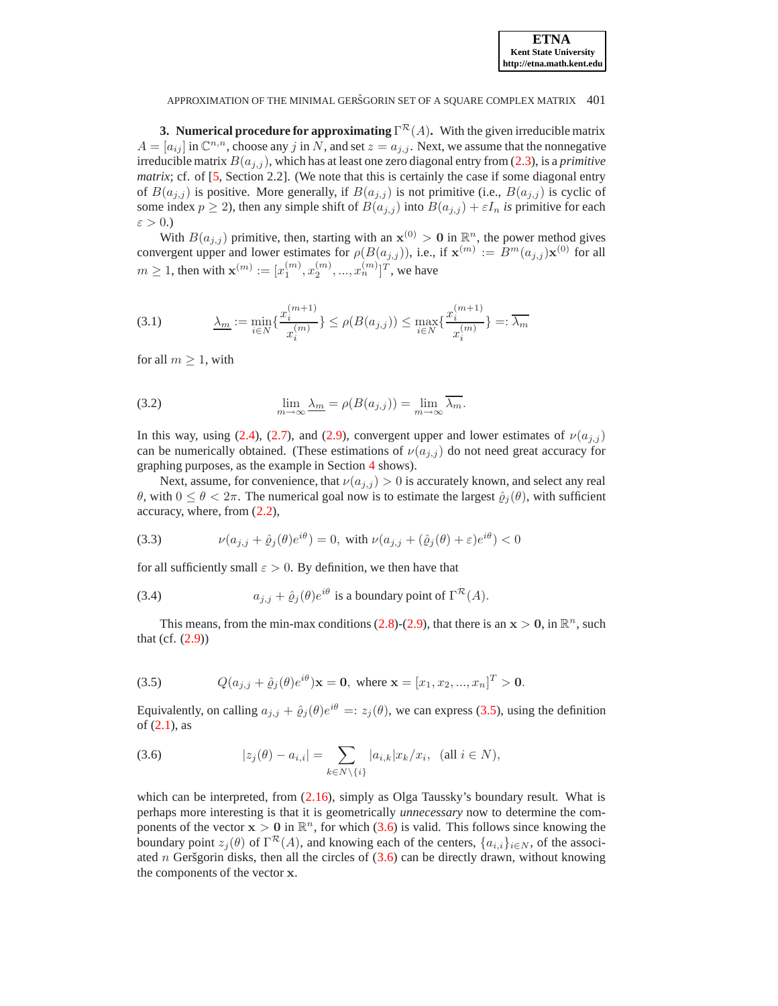

APPROXIMATION OF THE MINIMAL GERŠGORIN SET OF A SOUARE COMPLEX MATRIX 401

<span id="page-3-5"></span>**3. Numerical procedure for approximating**  $\Gamma^{\mathcal{R}}(A)$ . With the given irreducible matrix  $A = [a_{ij}]$  in  $\mathbb{C}^{n,n}$ , choose any j in N, and set  $z = a_{j,j}$ . Next, we assume that the nonnegative irreducible matrix  $B(a_{j,j})$ , which has at least one zero diagonal entry from [\(2.3\)](#page-1-3), is a *primitive matrix*; cf. of [\[5,](#page-7-4) Section 2.2]. (We note that this is certainly the case if some diagonal entry of  $B(a_{j,j})$  is positive. More generally, if  $B(a_{j,j})$  is not primitive (i.e.,  $B(a_{j,j})$  is cyclic of some index  $p \ge 2$ ), then any simple shift of  $B(a_{j,j})$  into  $B(a_{j,j}) + \varepsilon I_n$  *is* primitive for each  $\varepsilon > 0.$ )

<span id="page-3-3"></span>With  $B(a_{j,j})$  primitive, then, starting with an  $\mathbf{x}^{(0)} > \mathbf{0}$  in  $\mathbb{R}^n$ , the power method gives convergent upper and lower estimates for  $\rho(B(a_{j,j}))$ , i.e., if  $\mathbf{x}^{(m)} := B^m(a_{j,j})\mathbf{x}^{(0)}$  for all  $m \ge 1$ , then with  $\mathbf{x}^{(m)} := [x_1^{(m)}, x_2^{(m)}, ..., x_n^{(m)}]^T$ , we have

$$
(3.1) \qquad \qquad \underline{\lambda_m} := \min_{i \in N} \{ \frac{x_i^{(m+1)}}{x_i^{(m)}} \} \le \rho(B(a_{j,j})) \le \max_{i \in N} \{ \frac{x_i^{(m+1)}}{x_i^{(m)}} \} =: \overline{\lambda_m}
$$

<span id="page-3-4"></span>for all  $m \geq 1$ , with

(3.2) 
$$
\lim_{m \to \infty} \underline{\lambda_m} = \rho(B(a_{j,j})) = \lim_{m \to \infty} \overline{\lambda_m}.
$$

In this way, using [\(2.4\)](#page-1-4), [\(2.7\)](#page-1-2), and [\(2.9\)](#page-2-2), convergent upper and lower estimates of  $\nu(a_{i,j})$ can be numerically obtained. (These estimations of  $\nu(a_{i,j})$  do not need great accuracy for graphing purposes, as the example in Section [4](#page-4-0) shows).

Next, assume, for convenience, that  $\nu(a_{i,j}) > 0$  is accurately known, and select any real  $θ$ , with  $0 \le θ < 2π$ . The numerical goal now is to estimate the largest  $ρ<sub>i</sub>(θ)$ , with sufficient accuracy, where, from [\(2.2\)](#page-1-5),

<span id="page-3-2"></span>(3.3) 
$$
\nu(a_{j,j} + \hat{e}_j(\theta)e^{i\theta}) = 0, \text{ with } \nu(a_{j,j} + (\hat{e}_j(\theta) + \varepsilon)e^{i\theta}) < 0
$$

for all sufficiently small  $\varepsilon > 0$ . By definition, we then have that

(3.4) 
$$
a_{j,j} + \hat{\varrho}_j(\theta) e^{i\theta} \text{ is a boundary point of } \Gamma^{\mathcal{R}}(A).
$$

<span id="page-3-0"></span>This means, from the min-max conditions [\(2.8\)](#page-1-6)-[\(2.9\)](#page-2-2), that there is an  $x > 0$ , in  $\mathbb{R}^n$ , such that (cf.  $(2.9)$ )

(3.5) 
$$
Q(a_{j,j} + \hat{\varrho}_j(\theta)e^{i\theta})\mathbf{x} = \mathbf{0}, \text{ where } \mathbf{x} = [x_1, x_2, ..., x_n]^T > \mathbf{0}.
$$

<span id="page-3-1"></span>Equivalently, on calling  $a_{j,j} + \hat{e}_j(\theta)e^{i\theta} =: z_j(\theta)$ , we can express [\(3.5\)](#page-3-0), using the definition of [\(2.1\)](#page-1-7), as

(3.6) 
$$
|z_j(\theta) - a_{i,i}| = \sum_{k \in N \setminus \{i\}} |a_{i,k}| x_k / x_i, \text{ (all } i \in N),
$$

which can be interpreted, from  $(2.16)$ , simply as Olga Taussky's boundary result. What is perhaps more interesting is that it is geometrically *unnecessary* now to determine the components of the vector  $x > 0$  in  $\mathbb{R}^n$ , for which [\(3.6\)](#page-3-1) is valid. This follows since knowing the boundary point  $z_j(\theta)$  of  $\Gamma^{\mathcal{R}}(A)$ , and knowing each of the centers,  $\{a_{i,i}\}_{i\in N}$ , of the associated n Geršgorin disks, then all the circles of  $(3.6)$  can be directly drawn, without knowing the components of the vector x.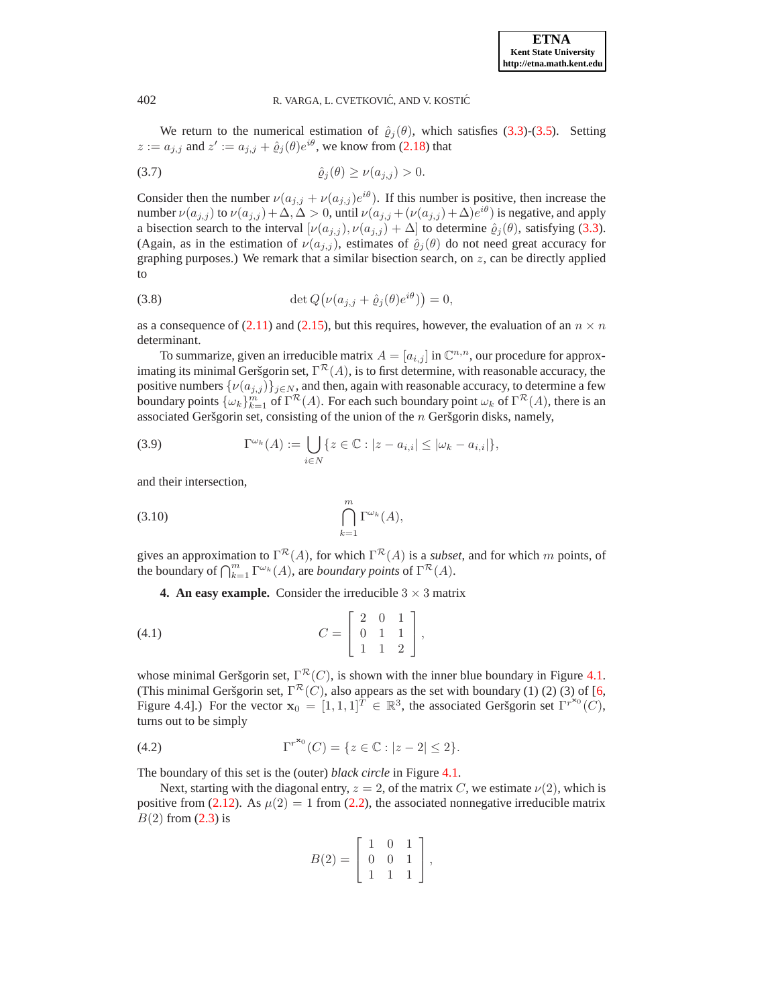

# 402 R. VARGA, L. CVETKOVIĆ, AND V. KOSTIĆ

We return to the numerical estimation of  $\hat{\varrho}_j(\theta)$ , which satisfies [\(3.3\)](#page-3-2)-[\(3.5\)](#page-3-0). Setting  $z := a_{j,j}$  and  $z' := a_{j,j} + \hat{e}_j(\theta)e^{i\theta}$ , we know from [\(2.18\)](#page-2-4) that

$$
\hat{\varrho}_j(\theta) \ge \nu(a_{j,j}) > 0.
$$

Consider then the number  $\nu(a_{j,j} + \nu(a_{j,j})e^{i\theta})$ . If this number is positive, then increase the number  $\nu(a_{j,j})$  to  $\nu(a_{j,j}) + \Delta, \Delta > 0$ , until  $\nu(a_{j,j} + (\nu(a_{j,j}) + \Delta)e^{i\theta})$  is negative, and apply a bisection search to the interval  $[\nu(a_{j,j}), \nu(a_{j,j}) + \Delta]$  to determine  $\hat{\varrho}_j(\theta)$ , satisfying [\(3.3\)](#page-3-2). (Again, as in the estimation of  $\nu(a_{j,j})$ , estimates of  $\hat{\varrho}_j(\theta)$  do not need great accuracy for graphing purposes.) We remark that a similar bisection search, on  $z$ , can be directly applied to

(3.8) 
$$
\det Q(\nu(a_{j,j} + \hat{\varrho}_j(\theta)e^{i\theta})) = 0,
$$

as a consequence of [\(2.11\)](#page-2-5) and [\(2.15\)](#page-2-1), but this requires, however, the evaluation of an  $n \times n$ determinant.

To summarize, given an irreducible matrix  $A = [a_{i,j}]$  in  $\mathbb{C}^{n,n}$ , our procedure for approximating its minimal Geršgorin set,  $\Gamma^{\mathcal{R}}(A)$ , is to first determine, with reasonable accuracy, the positive numbers  $\{\nu(a_{j,j})\}_{j\in\mathbb{N}}$ , and then, again with reasonable accuracy, to determine a few boundary points  $\{\omega_k\}_{k=1}^m$  of  $\Gamma^{\mathcal{R}}(A)$ . For each such boundary point  $\omega_k$  of  $\Gamma^{\mathcal{R}}(A)$ , there is an associated Geršgorin set, consisting of the union of the  $n$  Geršgorin disks, namely,

(3.9) 
$$
\Gamma^{\omega_k}(A) := \bigcup_{i \in N} \{ z \in \mathbb{C} : |z - a_{i,i}| \leq |\omega_k - a_{i,i}| \},
$$

and their intersection,

$$
(3.10)\qquad \qquad \bigcap_{k=1}^m \Gamma^{\omega_k}(A),
$$

<span id="page-4-0"></span>gives an approximation to  $\Gamma^{\mathcal{R}}(A)$ , for which  $\Gamma^{\mathcal{R}}(A)$  is a *subset*, and for which m points, of the boundary of  $\bigcap_{k=1}^m \Gamma^{\omega_k}(A)$ , are *boundary points* of  $\Gamma^{\mathcal{R}}(A)$ .

<span id="page-4-1"></span>**4. An easy example.** Consider the irreducible  $3 \times 3$  matrix

$$
(4.1) \t C = \begin{bmatrix} 2 & 0 & 1 \\ 0 & 1 & 1 \\ 1 & 1 & 2 \end{bmatrix},
$$

whose minimal Geršgorin set,  $\Gamma^{\mathcal{R}}(C)$ , is shown with the inner blue boundary in Figure [4.1.](#page-7-5) (This minimal Geršgorin set,  $\Gamma^{\mathcal{R}}(C)$ , also appears as the set with boundary (1) (2) (3) of [\[6,](#page-7-2) Figure 4.4].) For the vector  $\mathbf{x}_0 = [1, 1, 1]^T \in \mathbb{R}^3$ , the associated Geršgorin set  $\Gamma^{r^{(1)}(C)}$ , turns out to be simply

(4.2) 
$$
\Gamma^{r^{x_0}}(C) = \{z \in \mathbb{C} : |z - 2| \le 2\}.
$$

The boundary of this set is the (outer) *black circle* in Figure [4.1.](#page-7-5)

Next, starting with the diagonal entry,  $z = 2$ , of the matrix C, we estimate  $\nu(2)$ , which is positive from [\(2.12\)](#page-2-6). As  $\mu(2) = 1$  from [\(2.2\)](#page-1-5), the associated nonnegative irreducible matrix  $B(2)$  from  $(2.3)$  is

$$
B(2) = \left[ \begin{array}{rrr} 1 & 0 & 1 \\ 0 & 0 & 1 \\ 1 & 1 & 1 \end{array} \right],
$$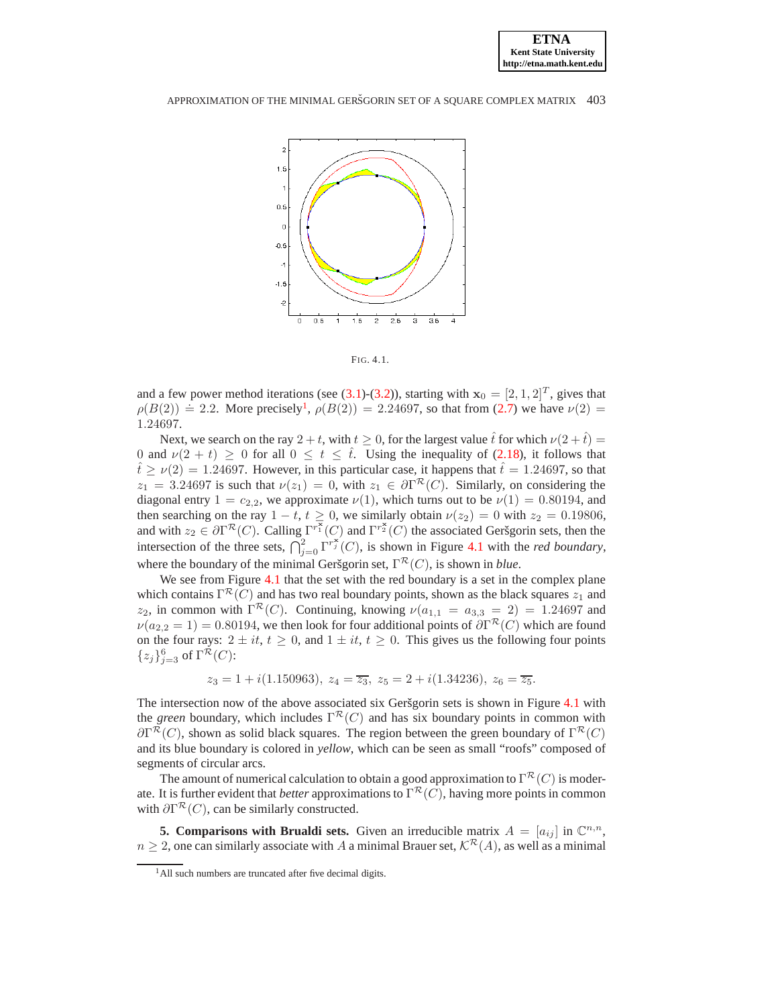#### APPROXIMATION OF THE MINIMAL GERŠGORIN SET OF A SOUARE COMPLEX MATRIX 403



FIG. 4.1.

and a few power method iterations (see [\(3.1\)](#page-3-3)-[\(3.2\)](#page-3-4)), starting with  $x_0 = [2, 1, 2]^T$ , gives that  $\rho(B(2)) \doteq 2.2$ . More precisely<sup>[1](#page-5-0)</sup>,  $\rho(B(2)) = 2.24697$ , so that from [\(2.7\)](#page-1-2) we have  $\nu(2) =$ 1.24697.

Next, we search on the ray  $2 + t$ , with  $t \ge 0$ , for the largest value  $\hat{t}$  for which  $\nu(2 + \hat{t}) =$ 0 and  $\nu(2 + t) \ge 0$  for all  $0 \le t \le \hat{t}$ . Using the inequality of [\(2.18\)](#page-2-4), it follows that  $t^2 > \nu(2) = 1.24697$ . However, in this particular case, it happens that  $\hat{t} = 1.24697$ , so that  $z_1 = 3.24697$  is such that  $\nu(z_1) = 0$ , with  $z_1 \in \partial \Gamma^{\mathcal{R}}(C)$ . Similarly, on considering the diagonal entry  $1 = c_{2,2}$ , we approximate  $\nu(1)$ , which turns out to be  $\nu(1) = 0.80194$ , and then searching on the ray  $1 - t$ ,  $t \ge 0$ , we similarly obtain  $\nu(z_2) = 0$  with  $z_2 = 0.19806$ , and with  $z_2 \in \partial \Gamma^{\mathcal{R}}(C)$ . Calling  $\Gamma^{r_1^{\overline{\mathcal{R}}}}(C)$  and  $\Gamma^{r_2^{\mathcal{R}}}(C)$  the associated Geršgorin sets, then the intersection of the three sets,  $\bigcap_{j=0}^{2} \Gamma^{r_j^*}(C)$ , is shown in Figure [4.1](#page-7-5) with the *red boundary*, where the boundary of the minimal Geršgorin set,  $\Gamma^{\mathcal{R}}(C)$ , is shown in *blue*.

We see from Figure [4.1](#page-7-5) that the set with the red boundary is a set in the complex plane which contains  $\Gamma^{\mathcal{R}}(C)$  and has two real boundary points, shown as the black squares  $z_1$  and  $z_2$ , in common with  $\Gamma^{\mathcal{R}}(C)$ . Continuing, knowing  $\nu(a_{1,1} = a_{3,3} = 2) = 1.24697$  and  $\nu(a_{2,2}=1) = 0.80194$ , we then look for four additional points of  $\partial \Gamma^{\mathcal{R}}(C)$  which are found on the four rays:  $2 \pm it$ ,  $t \geq 0$ , and  $1 \pm it$ ,  $t \geq 0$ . This gives us the following four points  ${z_j}_{j=3}^6$  of  $\Gamma^{\mathcal{R}}(C)$ :

$$
z_3 = 1 + i(1.150963), z_4 = \overline{z_3}, z_5 = 2 + i(1.34236), z_6 = \overline{z_5}.
$$

The intersection now of the above associated six Geršgorin sets is shown in Figure [4.1](#page-7-5) with the *green* boundary, which includes  $\Gamma^{\mathcal{R}}(C)$  and has six boundary points in common with  $\partial \Gamma^{\mathcal{R}}(C)$ , shown as solid black squares. The region between the green boundary of  $\Gamma^{\mathcal{R}}(C)$ and its blue boundary is colored in *yellow*, which can be seen as small "roofs" composed of segments of circular arcs.

The amount of numerical calculation to obtain a good approximation to  $\Gamma^{\mathcal{R}}(C)$  is moderate. It is further evident that *better* approximations to  $\Gamma^{\mathcal{R}}(C)$ , having more points in common with  $\partial \Gamma^{\mathcal{R}}(C)$ , can be similarly constructed.

**5. Comparisons with Brualdi sets.** Given an irreducible matrix  $A = [a_{ij}]$  in  $\mathbb{C}^{n,n}$ ,  $n \geq 2$ , one can similarly associate with A a minimal Brauer set,  $\mathcal{K}^{\mathcal{R}}(A)$ , as well as a minimal

<span id="page-5-0"></span><sup>&</sup>lt;sup>1</sup>All such numbers are truncated after five decimal digits.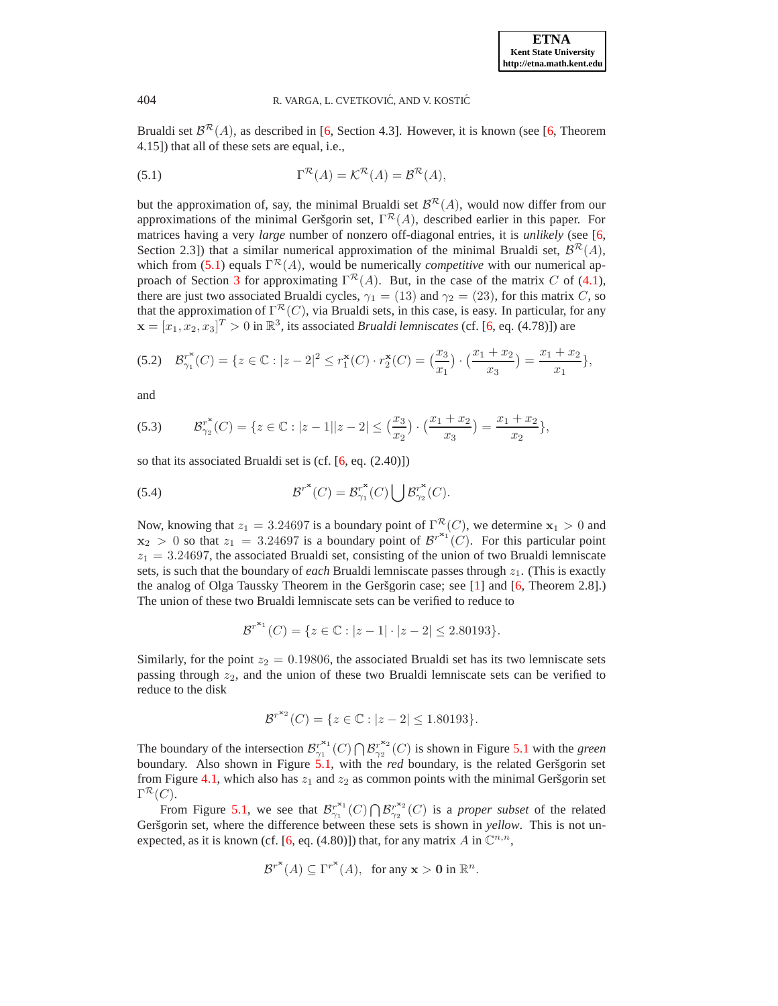# 404 R. VARGA, L. CVETKOVIĆ, AND V. KOSTIĆ

<span id="page-6-0"></span>Brualdi set  $\mathcal{B}^{\mathcal{R}}(A)$ , as described in [\[6,](#page-7-2) Section 4.3]. However, it is known (see [\[6,](#page-7-2) Theorem 4.15]) that all of these sets are equal, i.e.,

(5.1) 
$$
\Gamma^{\mathcal{R}}(A) = \mathcal{K}^{\mathcal{R}}(A) = \mathcal{B}^{\mathcal{R}}(A),
$$

but the approximation of, say, the minimal Brualdi set  $\mathcal{B}^{\mathcal{R}}(A)$ , would now differ from our approximations of the minimal Geršgorin set,  $\Gamma^{\mathcal{R}}(A)$ , described earlier in this paper. For matrices having a very *large* number of nonzero off-diagonal entries, it is *unlikely* (see [\[6,](#page-7-2) Section 2.3]) that a similar numerical approximation of the minimal Brualdi set,  $\mathcal{B}^{\mathcal{R}}(A)$ , which from [\(5.1\)](#page-6-0) equals  $\Gamma^{\mathcal{R}}(A)$ , would be numerically *competitive* with our numerical ap-proach of Section [3](#page-3-5) for approximating  $\Gamma^{\mathcal{R}}(A)$ . But, in the case of the matrix C of [\(4.1\)](#page-4-1), there are just two associated Brualdi cycles,  $\gamma_1 = (13)$  and  $\gamma_2 = (23)$ , for this matrix C, so that the approximation of  $\Gamma^{\mathcal{R}}(C)$ , via Brualdi sets, in this case, is easy. In particular, for any  $\mathbf{x} = [x_1, x_2, x_3]^T > 0$  in  $\mathbb{R}^3$ , its associated *Brualdi lemniscates* (cf. [\[6,](#page-7-2) eq. (4.78)]) are

$$
(5.2) \quad \mathcal{B}_{\gamma_1}^{r^*}(C) = \{ z \in \mathbb{C} : |z - 2|^2 \le r_1^*(C) \cdot r_2^*(C) = \left(\frac{x_3}{x_1}\right) \cdot \left(\frac{x_1 + x_2}{x_3}\right) = \frac{x_1 + x_2}{x_1},
$$

and

(5.3) 
$$
\mathcal{B}_{\gamma_2}^{r^*}(C) = \{z \in \mathbb{C} : |z - 1||z - 2| \leq \left(\frac{x_3}{x_2}\right) \cdot \left(\frac{x_1 + x_2}{x_3}\right) = \frac{x_1 + x_2}{x_2},
$$

so that its associated Brualdi set is (cf. [\[6,](#page-7-2) eq. (2.40)])

(5.4) 
$$
\mathcal{B}^{r^*}(C) = \mathcal{B}^{r^*}_{\gamma_1}(C) \bigcup \mathcal{B}^{r^*}_{\gamma_2}(C).
$$

Now, knowing that  $z_1 = 3.24697$  is a boundary point of  $\Gamma^{\mathcal{R}}(C)$ , we determine  $x_1 > 0$  and  $\mathbf{x}_2 > 0$  so that  $z_1 = 3.24697$  is a boundary point of  $\mathcal{B}^{r^{*1}}(C)$ . For this particular point  $z_1 = 3.24697$ , the associated Brualdi set, consisting of the union of two Brualdi lemniscate sets, is such that the boundary of *each* Brualdi lemniscate passes through  $z_1$ . (This is exactly the analog of Olga Taussky Theorem in the Geršgorin case; see  $[1]$  and  $[6,$  Theorem 2.8].) The union of these two Brualdi lemniscate sets can be verified to reduce to

$$
\mathcal{B}^{r^{x_1}}(C) = \{ z \in \mathbb{C} : |z - 1| \cdot |z - 2| \le 2.80193 \}.
$$

Similarly, for the point  $z_2 = 0.19806$ , the associated Brualdi set has its two lemniscate sets passing through  $z_2$ , and the union of these two Brualdi lemniscate sets can be verified to reduce to the disk

$$
\mathcal{B}^{r^{*2}}(C) = \{ z \in \mathbb{C} : |z - 2| \le 1.80193 \}.
$$

The boundary of the intersection  $\mathcal{B}_{\gamma_1}^{r^{x_1}}$  $\mathcal{B}_{\gamma_1}^{r^{\mathbf{x}_1}}(C) \bigcap \mathcal{B}_{\gamma_2}^{r^{\mathbf{x}_2}}$  $r^{2}$ <sub>2</sub><sup> $r^{2}$ </sup>(*C*) is shown in Figure [5.1](#page-7-5) with the *green* boundary. Also shown in Figure [5.1,](#page-7-5) with the *red* boundary, is the related Geršgorin set from Figure [4.1,](#page-7-5) which also has  $z_1$  and  $z_2$  as common points with the minimal Geršgorin set  $\Gamma^\mathcal{R}(C).$ 

From Figure [5.1,](#page-7-5) we see that  $\mathcal{B}_{\gamma_1}^{r^{x_1}}$  $g_{\gamma_1}^{r^{\mathbf{x}_1}}(C) \bigcap \mathcal{B}_{\gamma_2}^{r^{\mathbf{x}_2}}$  $r^{2}$ <sub>2</sub><sup> $r^{2}$ </sup>(*C*) is a *proper subset* of the related Geršgorin set, where the difference between these sets is shown in *yellow*. This is not un-expected, as it is known (cf. [\[6,](#page-7-2) eq. (4.80)]) that, for any matrix A in  $\mathbb{C}^{n,n}$ ,

$$
\mathcal{B}^{r^*}(A) \subseteq \Gamma^{r^*}(A), \text{ for any } \mathbf{x} > \mathbf{0} \text{ in } \mathbb{R}^n.
$$